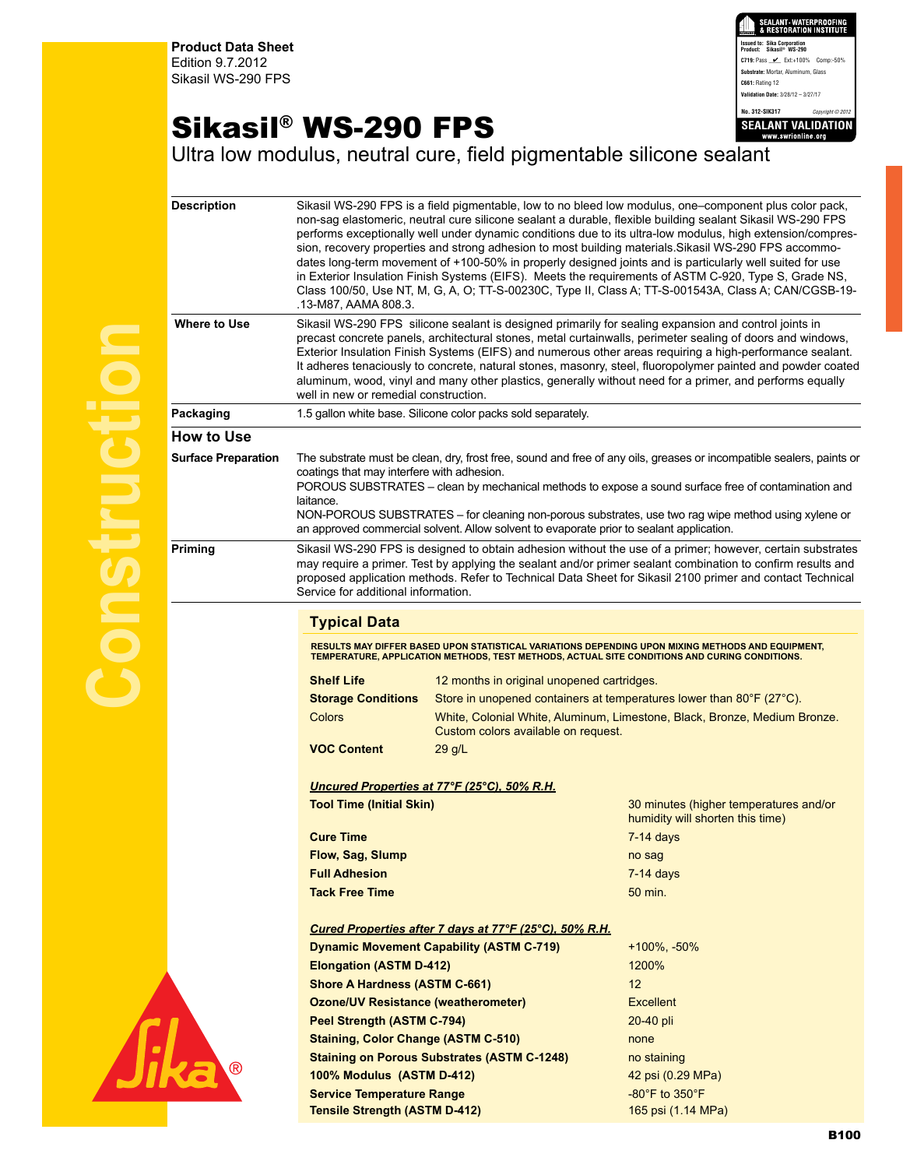**Product Data Sheet** Edition 9.7.2012 Sikasil WS-290 FPS



## Sikasil® WS-290 FPS

Ultra low modulus, neutral cure, field pigmentable silicone sealant

| <b>Description</b>         | Sikasil WS-290 FPS is a field pigmentable, low to no bleed low modulus, one–component plus color pack,<br>non-sag elastomeric, neutral cure silicone sealant a durable, flexible building sealant Sikasil WS-290 FPS<br>performs exceptionally well under dynamic conditions due to its ultra-low modulus, high extension/compres-<br>sion, recovery properties and strong adhesion to most building materials. Sikasil WS-290 FPS accommo-<br>dates long-term movement of +100-50% in properly designed joints and is particularly well suited for use<br>in Exterior Insulation Finish Systems (EIFS). Meets the requirements of ASTM C-920, Type S, Grade NS,<br>Class 100/50, Use NT, M, G, A, O; TT-S-00230C, Type II, Class A; TT-S-001543A, Class A; CAN/CGSB-19-<br>.13-M87, AAMA 808.3. |                                                                                               |                                                                                                   |  |
|----------------------------|--------------------------------------------------------------------------------------------------------------------------------------------------------------------------------------------------------------------------------------------------------------------------------------------------------------------------------------------------------------------------------------------------------------------------------------------------------------------------------------------------------------------------------------------------------------------------------------------------------------------------------------------------------------------------------------------------------------------------------------------------------------------------------------------------|-----------------------------------------------------------------------------------------------|---------------------------------------------------------------------------------------------------|--|
| Where to Use               | Sikasil WS-290 FPS silicone sealant is designed primarily for sealing expansion and control joints in<br>precast concrete panels, architectural stones, metal curtainwalls, perimeter sealing of doors and windows,<br>Exterior Insulation Finish Systems (EIFS) and numerous other areas requiring a high-performance sealant.<br>It adheres tenaciously to concrete, natural stones, masonry, steel, fluoropolymer painted and powder coated<br>aluminum, wood, vinyl and many other plastics, generally without need for a primer, and performs equally<br>well in new or remedial construction.                                                                                                                                                                                              |                                                                                               |                                                                                                   |  |
| Packaging                  | 1.5 gallon white base. Silicone color packs sold separately.                                                                                                                                                                                                                                                                                                                                                                                                                                                                                                                                                                                                                                                                                                                                     |                                                                                               |                                                                                                   |  |
| <b>How to Use</b>          |                                                                                                                                                                                                                                                                                                                                                                                                                                                                                                                                                                                                                                                                                                                                                                                                  |                                                                                               |                                                                                                   |  |
| <b>Surface Preparation</b> | The substrate must be clean, dry, frost free, sound and free of any oils, greases or incompatible sealers, paints or<br>coatings that may interfere with adhesion.<br>POROUS SUBSTRATES – clean by mechanical methods to expose a sound surface free of contamination and<br>laitance.<br>NON-POROUS SUBSTRATES – for cleaning non-porous substrates, use two rag wipe method using xylene or<br>an approved commercial solvent. Allow solvent to evaporate prior to sealant application.                                                                                                                                                                                                                                                                                                        |                                                                                               |                                                                                                   |  |
| <b>Priming</b>             | Sikasil WS-290 FPS is designed to obtain adhesion without the use of a primer; however, certain substrates<br>may require a primer. Test by applying the sealant and/or primer sealant combination to confirm results and<br>proposed application methods. Refer to Technical Data Sheet for Sikasil 2100 primer and contact Technical<br>Service for additional information.                                                                                                                                                                                                                                                                                                                                                                                                                    |                                                                                               |                                                                                                   |  |
|                            | <b>Typical Data</b>                                                                                                                                                                                                                                                                                                                                                                                                                                                                                                                                                                                                                                                                                                                                                                              |                                                                                               |                                                                                                   |  |
|                            |                                                                                                                                                                                                                                                                                                                                                                                                                                                                                                                                                                                                                                                                                                                                                                                                  | TEMPERATURE, APPLICATION METHODS, TEST METHODS, ACTUAL SITE CONDITIONS AND CURING CONDITIONS. | RESULTS MAY DIFFER BASED UPON STATISTICAL VARIATIONS DEPENDING UPON MIXING METHODS AND EQUIPMENT, |  |
|                            | <b>Shelf Life</b>                                                                                                                                                                                                                                                                                                                                                                                                                                                                                                                                                                                                                                                                                                                                                                                | 12 months in original unopened cartridges.                                                    |                                                                                                   |  |
|                            | <b>Storage Conditions</b>                                                                                                                                                                                                                                                                                                                                                                                                                                                                                                                                                                                                                                                                                                                                                                        | Store in unopened containers at temperatures lower than 80°F (27°C).                          |                                                                                                   |  |
|                            | <b>Colors</b>                                                                                                                                                                                                                                                                                                                                                                                                                                                                                                                                                                                                                                                                                                                                                                                    | Custom colors available on request.                                                           | White, Colonial White, Aluminum, Limestone, Black, Bronze, Medium Bronze.                         |  |
|                            | <b>VOC Content</b>                                                                                                                                                                                                                                                                                                                                                                                                                                                                                                                                                                                                                                                                                                                                                                               | $29$ g/L                                                                                      |                                                                                                   |  |
|                            |                                                                                                                                                                                                                                                                                                                                                                                                                                                                                                                                                                                                                                                                                                                                                                                                  | Uncured Properties at 77°F (25°C), 50% R.H.                                                   |                                                                                                   |  |
|                            | <b>Tool Time (Initial Skin)</b>                                                                                                                                                                                                                                                                                                                                                                                                                                                                                                                                                                                                                                                                                                                                                                  |                                                                                               | 30 minutes (higher temperatures and/or<br>humidity will shorten this time)                        |  |
|                            | <b>Cure Time</b>                                                                                                                                                                                                                                                                                                                                                                                                                                                                                                                                                                                                                                                                                                                                                                                 |                                                                                               | $7-14$ days                                                                                       |  |
|                            | <b>Flow, Sag, Slump</b>                                                                                                                                                                                                                                                                                                                                                                                                                                                                                                                                                                                                                                                                                                                                                                          |                                                                                               | no sag                                                                                            |  |
|                            | <b>Full Adhesion</b><br><b>Tack Free Time</b>                                                                                                                                                                                                                                                                                                                                                                                                                                                                                                                                                                                                                                                                                                                                                    |                                                                                               | $7-14$ days<br>50 min.                                                                            |  |
|                            | Cured Properties after 7 days at 77°F (25°C), 50% R.H.                                                                                                                                                                                                                                                                                                                                                                                                                                                                                                                                                                                                                                                                                                                                           |                                                                                               |                                                                                                   |  |
|                            | <b>Dynamic Movement Capability (ASTM C-719)</b><br><b>Elongation (ASTM D-412)</b><br><b>Shore A Hardness (ASTM C-661)</b><br><b>Ozone/UV Resistance (weatherometer)</b>                                                                                                                                                                                                                                                                                                                                                                                                                                                                                                                                                                                                                          |                                                                                               | $+100\%$ , $-50\%$                                                                                |  |
|                            |                                                                                                                                                                                                                                                                                                                                                                                                                                                                                                                                                                                                                                                                                                                                                                                                  |                                                                                               | 1200%                                                                                             |  |
|                            |                                                                                                                                                                                                                                                                                                                                                                                                                                                                                                                                                                                                                                                                                                                                                                                                  |                                                                                               | 12                                                                                                |  |
|                            |                                                                                                                                                                                                                                                                                                                                                                                                                                                                                                                                                                                                                                                                                                                                                                                                  |                                                                                               | <b>Excellent</b>                                                                                  |  |
|                            | <b>Peel Strength (ASTM C-794)</b>                                                                                                                                                                                                                                                                                                                                                                                                                                                                                                                                                                                                                                                                                                                                                                |                                                                                               | 20-40 pli                                                                                         |  |
|                            | <b>Staining, Color Change (ASTM C-510)</b>                                                                                                                                                                                                                                                                                                                                                                                                                                                                                                                                                                                                                                                                                                                                                       |                                                                                               | none                                                                                              |  |
|                            | <b>Staining on Porous Substrates (ASTM C-1248)</b>                                                                                                                                                                                                                                                                                                                                                                                                                                                                                                                                                                                                                                                                                                                                               |                                                                                               | no staining                                                                                       |  |
|                            | 100% Modulus (ASTM D-412)                                                                                                                                                                                                                                                                                                                                                                                                                                                                                                                                                                                                                                                                                                                                                                        |                                                                                               | 42 psi (0.29 MPa)                                                                                 |  |
|                            | <b>Service Temperature Range</b><br><b>Tensile Strength (ASTM D-412)</b>                                                                                                                                                                                                                                                                                                                                                                                                                                                                                                                                                                                                                                                                                                                         |                                                                                               | $-80^\circ$ F to $350^\circ$ F<br>165 psi (1.14 MPa)                                              |  |
|                            |                                                                                                                                                                                                                                                                                                                                                                                                                                                                                                                                                                                                                                                                                                                                                                                                  |                                                                                               |                                                                                                   |  |